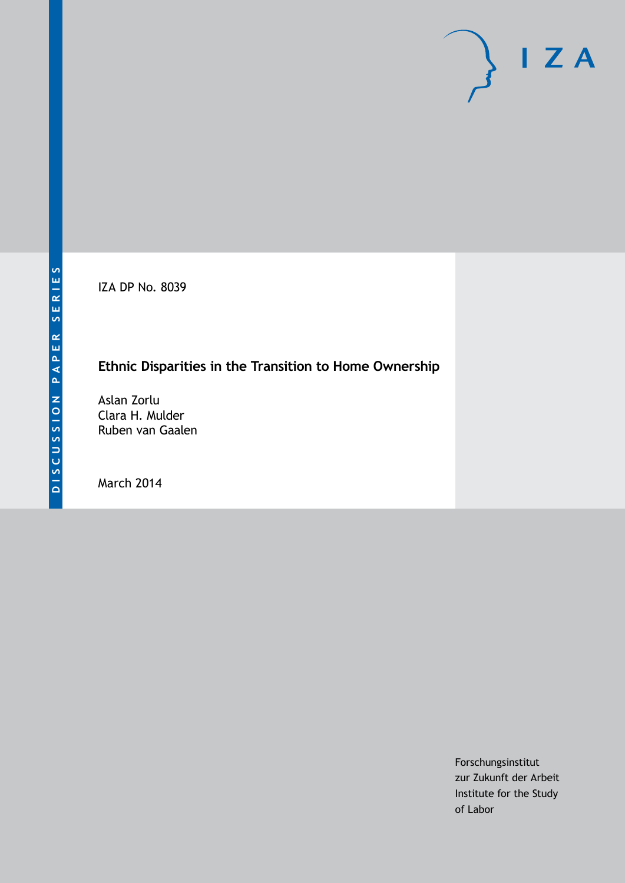IZA DP No. 8039

# **Ethnic Disparities in the Transition to Home Ownership**

Aslan Zorlu Clara H. Mulder Ruben van Gaalen

March 2014

Forschungsinstitut zur Zukunft der Arbeit Institute for the Study of Labor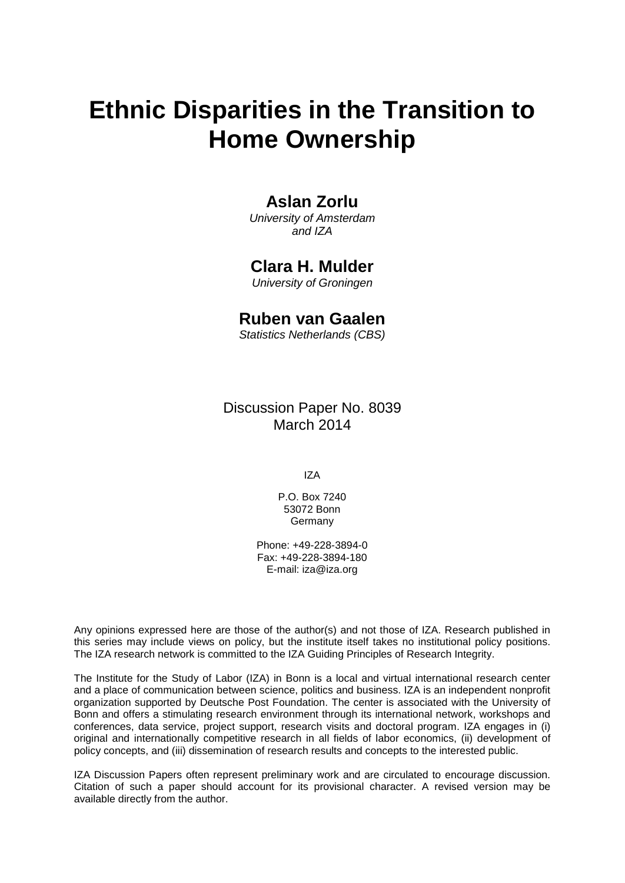# **Ethnic Disparities in the Transition to Home Ownership**

## **Aslan Zorlu**

*University of Amsterdam and IZA*

### **Clara H. Mulder**

*University of Groningen*

### **Ruben van Gaalen**

*Statistics Netherlands (CBS)*

Discussion Paper No. 8039 March 2014

IZA

P.O. Box 7240 53072 Bonn **Germany** 

Phone: +49-228-3894-0 Fax: +49-228-3894-180 E-mail: [iza@iza.org](mailto:iza@iza.org)

Any opinions expressed here are those of the author(s) and not those of IZA. Research published in this series may include views on policy, but the institute itself takes no institutional policy positions. The IZA research network is committed to the IZA Guiding Principles of Research Integrity.

The Institute for the Study of Labor (IZA) in Bonn is a local and virtual international research center and a place of communication between science, politics and business. IZA is an independent nonprofit organization supported by Deutsche Post Foundation. The center is associated with the University of Bonn and offers a stimulating research environment through its international network, workshops and conferences, data service, project support, research visits and doctoral program. IZA engages in (i) original and internationally competitive research in all fields of labor economics, (ii) development of policy concepts, and (iii) dissemination of research results and concepts to the interested public.

<span id="page-1-0"></span>IZA Discussion Papers often represent preliminary work and are circulated to encourage discussion. Citation of such a paper should account for its provisional character. A revised version may be available directly from the author.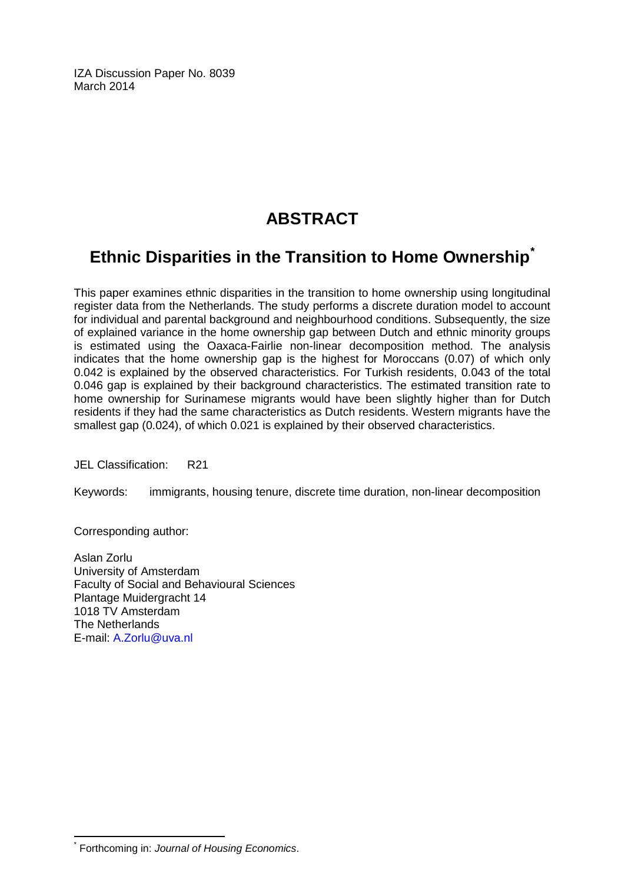IZA Discussion Paper No. 8039 March 2014

# **ABSTRACT**

# **Ethnic Disparities in the Transition to Home Ownership[\\*](#page-1-0)**

This paper examines ethnic disparities in the transition to home ownership using longitudinal register data from the Netherlands. The study performs a discrete duration model to account for individual and parental background and neighbourhood conditions. Subsequently, the size of explained variance in the home ownership gap between Dutch and ethnic minority groups is estimated using the Oaxaca-Fairlie non-linear decomposition method. The analysis indicates that the home ownership gap is the highest for Moroccans (0.07) of which only 0.042 is explained by the observed characteristics. For Turkish residents, 0.043 of the total 0.046 gap is explained by their background characteristics. The estimated transition rate to home ownership for Surinamese migrants would have been slightly higher than for Dutch residents if they had the same characteristics as Dutch residents. Western migrants have the smallest gap (0.024), of which 0.021 is explained by their observed characteristics.

JEL Classification: R21

Keywords: immigrants, housing tenure, discrete time duration, non-linear decomposition

Corresponding author:

Aslan Zorlu University of Amsterdam Faculty of Social and Behavioural Sciences Plantage Muidergracht 14 1018 TV Amsterdam The Netherlands E-mail: [A.Zorlu@uva.nl](mailto:A.Zorlu@uva.nl)

\* Forthcoming in: *Journal of Housing Economics*.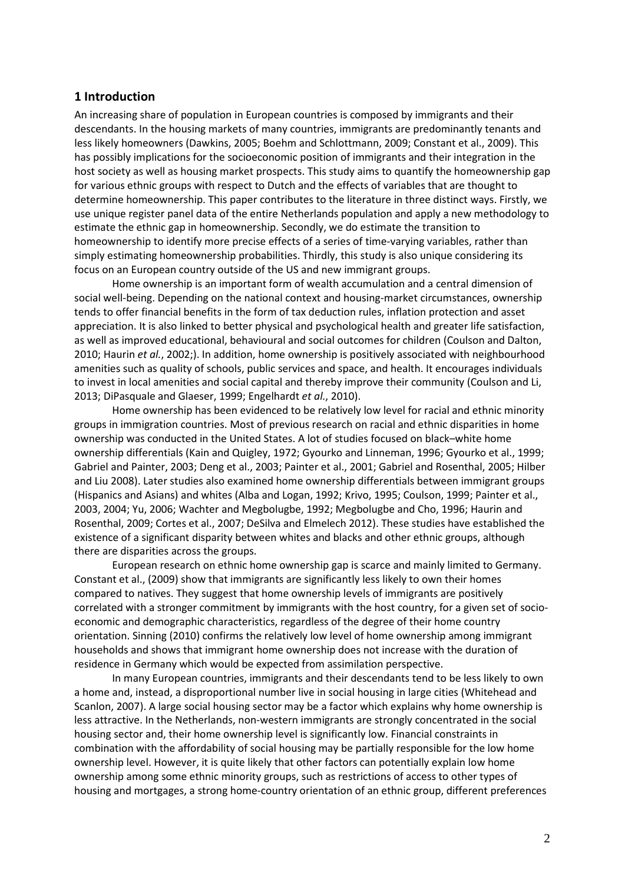#### **1 Introduction**

An increasing share of population in European countries is composed by immigrants and their descendants. In the housing markets of many countries, immigrants are predominantly tenants and less likely homeowners (Dawkins, 2005; Boehm and Schlottmann, 2009; Constant et al., 2009). This has possibly implications for the socioeconomic position of immigrants and their integration in the host society as well as housing market prospects. This study aims to quantify the homeownership gap for various ethnic groups with respect to Dutch and the effects of variables that are thought to determine homeownership. This paper contributes to the literature in three distinct ways. Firstly, we use unique register panel data of the entire Netherlands population and apply a new methodology to estimate the ethnic gap in homeownership. Secondly, we do estimate the transition to homeownership to identify more precise effects of a series of time-varying variables, rather than simply estimating homeownership probabilities. Thirdly, this study is also unique considering its focus on an European country outside of the US and new immigrant groups.

Home ownership is an important form of wealth accumulation and a central dimension of social well-being. Depending on the national context and housing-market circumstances, ownership tends to offer financial benefits in the form of tax deduction rules, inflation protection and asset appreciation. It is also linked to better physical and psychological health and greater life satisfaction, as well as improved educational, behavioural and social outcomes for children (Coulson and Dalton, 2010; Haurin *et al.*, 2002;). In addition, home ownership is positively associated with neighbourhood amenities such as quality of schools, public services and space, and health. It encourages individuals to invest in local amenities and social capital and thereby improve their community (Coulson and Li, 2013; DiPasquale and Glaeser, 1999; Engelhardt *et al.*, 2010).

Home ownership has been evidenced to be relatively low level for racial and ethnic minority groups in immigration countries. Most of previous research on racial and ethnic disparities in home ownership was conducted in the United States. A lot of studies focused on black–white home ownership differentials (Kain and Quigley, 1972; Gyourko and Linneman, 1996; Gyourko et al., 1999; Gabriel and Painter, 2003; Deng et al., 2003; Painter et al., 2001; Gabriel and Rosenthal, 2005; Hilber and Liu 2008). Later studies also examined home ownership differentials between immigrant groups (Hispanics and Asians) and whites (Alba and Logan, 1992; Krivo, 1995; Coulson, 1999; Painter et al., 2003, 2004; Yu, 2006; Wachter and Megbolugbe, 1992; Megbolugbe and Cho, 1996; Haurin and Rosenthal, 2009; Cortes et al., 2007; DeSilva and Elmelech 2012). These studies have established the existence of a significant disparity between whites and blacks and other ethnic groups, although there are disparities across the groups.

European research on ethnic home ownership gap is scarce and mainly limited to Germany. Constant et al., (2009) show that immigrants are significantly less likely to own their homes compared to natives. They suggest that home ownership levels of immigrants are positively correlated with a stronger commitment by immigrants with the host country, for a given set of socioeconomic and demographic characteristics, regardless of the degree of their home country orientation. Sinning (2010) confirms the relatively low level of home ownership among immigrant households and shows that immigrant home ownership does not increase with the duration of residence in Germany which would be expected from assimilation perspective.

In many European countries, immigrants and their descendants tend to be less likely to own a home and, instead, a disproportional number live in social housing in large cities (Whitehead and Scanlon, 2007). A large social housing sector may be a factor which explains why home ownership is less attractive. In the Netherlands, non-western immigrants are strongly concentrated in the social housing sector and, their home ownership level is significantly low. Financial constraints in combination with the affordability of social housing may be partially responsible for the low home ownership level. However, it is quite likely that other factors can potentially explain low home ownership among some ethnic minority groups, such as restrictions of access to other types of housing and mortgages, a strong home-country orientation of an ethnic group, different preferences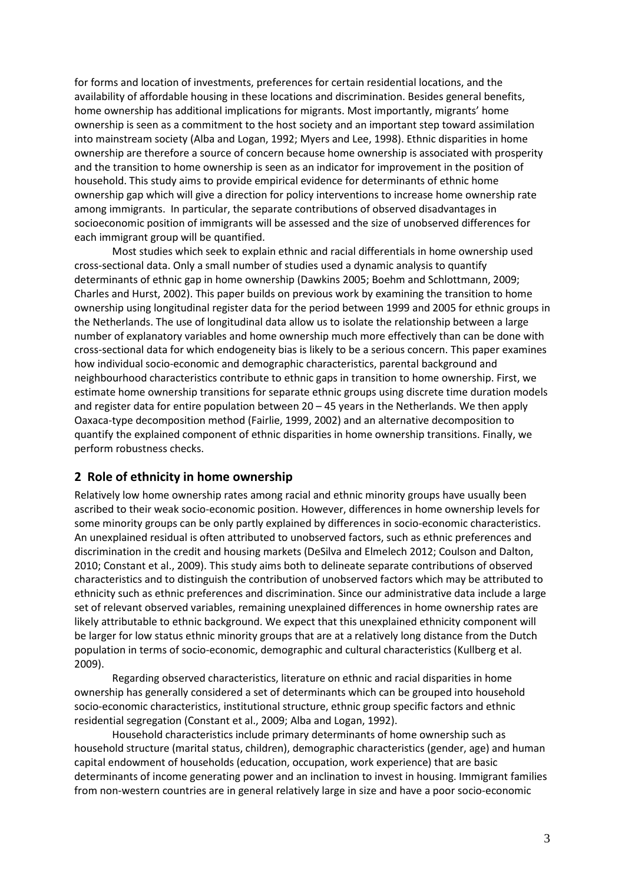for forms and location of investments, preferences for certain residential locations, and the availability of affordable housing in these locations and discrimination. Besides general benefits, home ownership has additional implications for migrants. Most importantly, migrants' home ownership is seen as a commitment to the host society and an important step toward assimilation into mainstream society (Alba and Logan, 1992; Myers and Lee, 1998). Ethnic disparities in home ownership are therefore a source of concern because home ownership is associated with prosperity and the transition to home ownership is seen as an indicator for improvement in the position of household. This study aims to provide empirical evidence for determinants of ethnic home ownership gap which will give a direction for policy interventions to increase home ownership rate among immigrants. In particular, the separate contributions of observed disadvantages in socioeconomic position of immigrants will be assessed and the size of unobserved differences for each immigrant group will be quantified.

Most studies which seek to explain ethnic and racial differentials in home ownership used cross-sectional data. Only a small number of studies used a dynamic analysis to quantify determinants of ethnic gap in home ownership (Dawkins 2005; Boehm and Schlottmann, 2009; Charles and Hurst, 2002). This paper builds on previous work by examining the transition to home ownership using longitudinal register data for the period between 1999 and 2005 for ethnic groups in the Netherlands. The use of longitudinal data allow us to isolate the relationship between a large number of explanatory variables and home ownership much more effectively than can be done with cross-sectional data for which endogeneity bias is likely to be a serious concern. This paper examines how individual socio-economic and demographic characteristics, parental background and neighbourhood characteristics contribute to ethnic gaps in transition to home ownership. First, we estimate home ownership transitions for separate ethnic groups using discrete time duration models and register data for entire population between 20 – 45 years in the Netherlands. We then apply Oaxaca-type decomposition method (Fairlie, 1999, 2002) and an alternative decomposition to quantify the explained component of ethnic disparities in home ownership transitions. Finally, we perform robustness checks.

#### **2 Role of ethnicity in home ownership**

Relatively low home ownership rates among racial and ethnic minority groups have usually been ascribed to their weak socio-economic position. However, differences in home ownership levels for some minority groups can be only partly explained by differences in socio-economic characteristics. An unexplained residual is often attributed to unobserved factors, such as ethnic preferences and discrimination in the credit and housing markets (DeSilva and Elmelech 2012; Coulson and Dalton, 2010; Constant et al., 2009). This study aims both to delineate separate contributions of observed characteristics and to distinguish the contribution of unobserved factors which may be attributed to ethnicity such as ethnic preferences and discrimination. Since our administrative data include a large set of relevant observed variables, remaining unexplained differences in home ownership rates are likely attributable to ethnic background. We expect that this unexplained ethnicity component will be larger for low status ethnic minority groups that are at a relatively long distance from the Dutch population in terms of socio-economic, demographic and cultural characteristics (Kullberg et al. 2009).

Regarding observed characteristics, literature on ethnic and racial disparities in home ownership has generally considered a set of determinants which can be grouped into household socio-economic characteristics, institutional structure, ethnic group specific factors and ethnic residential segregation (Constant et al., 2009; Alba and Logan, 1992).

Household characteristics include primary determinants of home ownership such as household structure (marital status, children), demographic characteristics (gender, age) and human capital endowment of households (education, occupation, work experience) that are basic determinants of income generating power and an inclination to invest in housing. Immigrant families from non-western countries are in general relatively large in size and have a poor socio-economic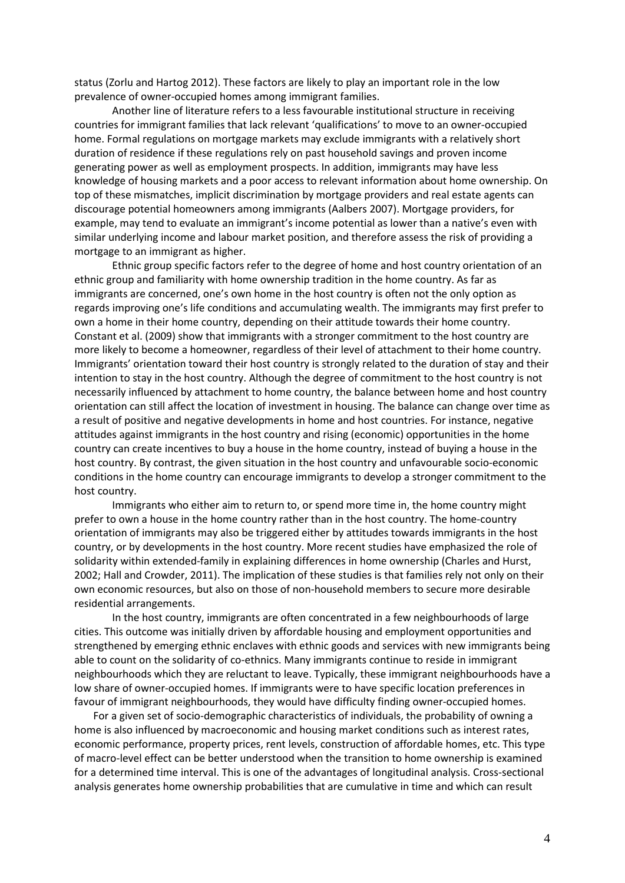status (Zorlu and Hartog 2012). These factors are likely to play an important role in the low prevalence of owner-occupied homes among immigrant families.

Another line of literature refers to a less favourable institutional structure in receiving countries for immigrant families that lack relevant 'qualifications' to move to an owner-occupied home. Formal regulations on mortgage markets may exclude immigrants with a relatively short duration of residence if these regulations rely on past household savings and proven income generating power as well as employment prospects. In addition, immigrants may have less knowledge of housing markets and a poor access to relevant information about home ownership. On top of these mismatches, implicit discrimination by mortgage providers and real estate agents can discourage potential homeowners among immigrants (Aalbers 2007). Mortgage providers, for example, may tend to evaluate an immigrant's income potential as lower than a native's even with similar underlying income and labour market position, and therefore assess the risk of providing a mortgage to an immigrant as higher.

Ethnic group specific factors refer to the degree of home and host country orientation of an ethnic group and familiarity with home ownership tradition in the home country. As far as immigrants are concerned, one's own home in the host country is often not the only option as regards improving one's life conditions and accumulating wealth. The immigrants may first prefer to own a home in their home country, depending on their attitude towards their home country. Constant et al. (2009) show that immigrants with a stronger commitment to the host country are more likely to become a homeowner, regardless of their level of attachment to their home country. Immigrants' orientation toward their host country is strongly related to the duration of stay and their intention to stay in the host country. Although the degree of commitment to the host country is not necessarily influenced by attachment to home country, the balance between home and host country orientation can still affect the location of investment in housing. The balance can change over time as a result of positive and negative developments in home and host countries. For instance, negative attitudes against immigrants in the host country and rising (economic) opportunities in the home country can create incentives to buy a house in the home country, instead of buying a house in the host country. By contrast, the given situation in the host country and unfavourable socio-economic conditions in the home country can encourage immigrants to develop a stronger commitment to the host country.

Immigrants who either aim to return to, or spend more time in, the home country might prefer to own a house in the home country rather than in the host country. The home-country orientation of immigrants may also be triggered either by attitudes towards immigrants in the host country, or by developments in the host country. More recent studies have emphasized the role of solidarity within extended-family in explaining differences in home ownership (Charles and Hurst, 2002; Hall and Crowder, 2011). The implication of these studies is that families rely not only on their own economic resources, but also on those of non-household members to secure more desirable residential arrangements.

In the host country, immigrants are often concentrated in a few neighbourhoods of large cities. This outcome was initially driven by affordable housing and employment opportunities and strengthened by emerging ethnic enclaves with ethnic goods and services with new immigrants being able to count on the solidarity of co-ethnics. Many immigrants continue to reside in immigrant neighbourhoods which they are reluctant to leave. Typically, these immigrant neighbourhoods have a low share of owner-occupied homes. If immigrants were to have specific location preferences in favour of immigrant neighbourhoods, they would have difficulty finding owner-occupied homes.

For a given set of socio-demographic characteristics of individuals, the probability of owning a home is also influenced by macroeconomic and housing market conditions such as interest rates, economic performance, property prices, rent levels, construction of affordable homes, etc. This type of macro-level effect can be better understood when the transition to home ownership is examined for a determined time interval. This is one of the advantages of longitudinal analysis. Cross-sectional analysis generates home ownership probabilities that are cumulative in time and which can result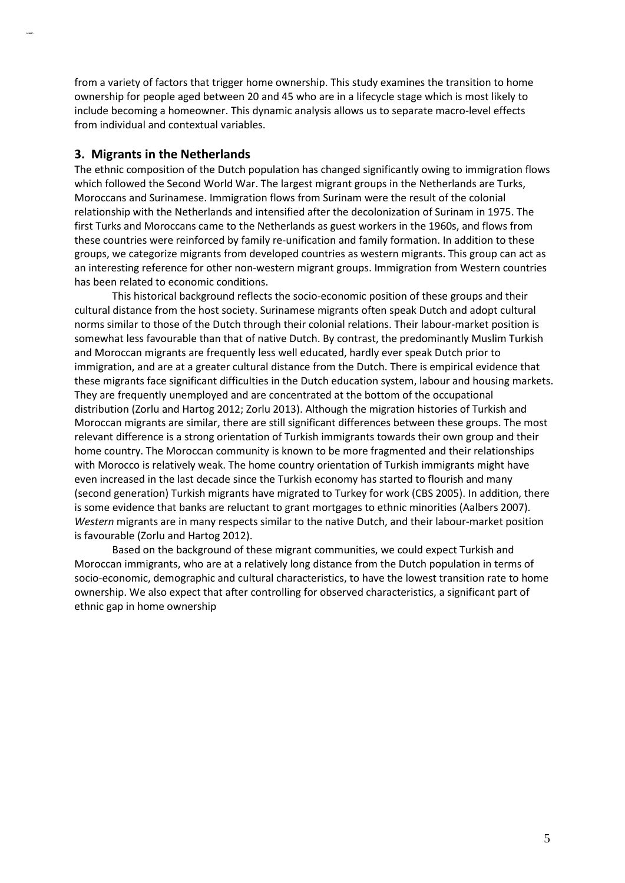from a variety of factors that trigger home ownership. This study examines the transition to home ownership for people aged between 20 and 45 who are in a lifecycle stage which is most likely to include becoming a homeowner. This dynamic analysis allows us to separate macro-level effects from individual and contextual variables.

#### **3. Migrants in the Netherlands**

The ethnic composition of the Dutch population has changed significantly owing to immigration flows which followed the Second World War. The largest migrant groups in the Netherlands are Turks, Moroccans and Surinamese. Immigration flows from Surinam were the result of the colonial relationship with the Netherlands and intensified after the decolonization of Surinam in 1975. The first Turks and Moroccans came to the Netherlands as guest workers in the 1960s, and flows from these countries were reinforced by family re-unification and family formation. In addition to these groups, we categorize migrants from developed countries as western migrants. This group can act as an interesting reference for other non-western migrant groups. Immigration from Western countries has been related to economic conditions.

This historical background reflects the socio-economic position of these groups and their cultural distance from the host society. Surinamese migrants often speak Dutch and adopt cultural norms similar to those of the Dutch through their colonial relations. Their labour-market position is somewhat less favourable than that of native Dutch. By contrast, the predominantly Muslim Turkish and Moroccan migrants are frequently less well educated, hardly ever speak Dutch prior to immigration, and are at a greater cultural distance from the Dutch. There is empirical evidence that these migrants face significant difficulties in the Dutch education system, labour and housing markets. They are frequently unemployed and are concentrated at the bottom of the occupational distribution (Zorlu and Hartog 2012; Zorlu 2013). Although the migration histories of Turkish and Moroccan migrants are similar, there are still significant differences between these groups. The most relevant difference is a strong orientation of Turkish immigrants towards their own group and their home country. The Moroccan community is known to be more fragmented and their relationships with Morocco is relatively weak. The home country orientation of Turkish immigrants might have even increased in the last decade since the Turkish economy has started to flourish and many (second generation) Turkish migrants have migrated to Turkey for work (CBS 2005). In addition, there is some evidence that banks are reluctant to grant mortgages to ethnic minorities (Aalbers 2007). *Western* migrants are in many respects similar to the native Dutch, and their labour-market position is favourable (Zorlu and Hartog 2012).

Based on the background of these migrant communities, we could expect Turkish and Moroccan immigrants, who are at a relatively long distance from the Dutch population in terms of socio-economic, demographic and cultural characteristics, to have the lowest transition rate to home ownership. We also expect that after controlling for observed characteristics, a significant part of ethnic gap in home ownership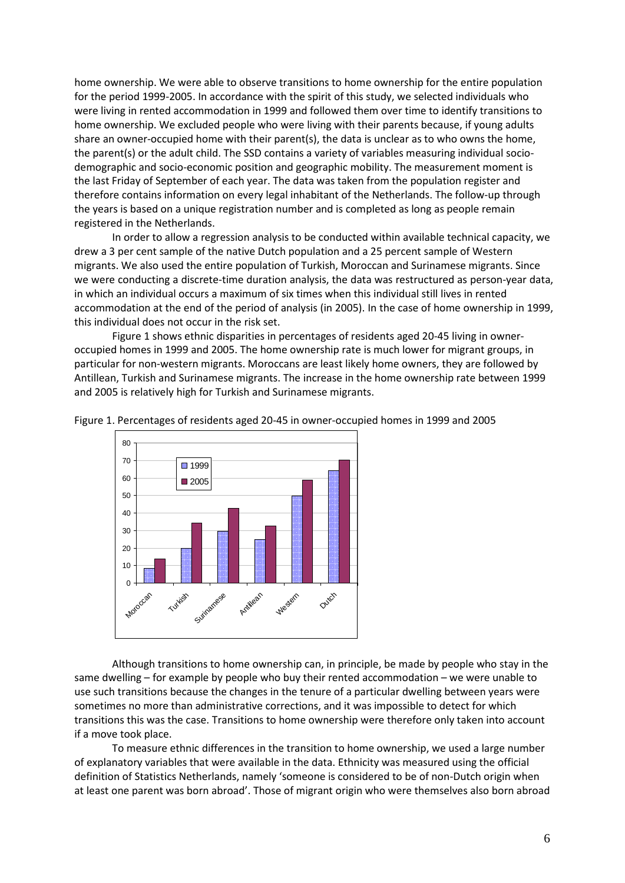home ownership. We were able to observe transitions to home ownership for the entire population for the period 1999-2005. In accordance with the spirit of this study, we selected individuals who were living in rented accommodation in 1999 and followed them over time to identify transitions to home ownership. We excluded people who were living with their parents because, if young adults share an owner-occupied home with their parent(s), the data is unclear as to who owns the home, the parent(s) or the adult child. The SSD contains a variety of variables measuring individual sociodemographic and socio-economic position and geographic mobility. The measurement moment is the last Friday of September of each year. The data was taken from the population register and therefore contains information on every legal inhabitant of the Netherlands. The follow-up through the years is based on a unique registration number and is completed as long as people remain registered in the Netherlands.

In order to allow a regression analysis to be conducted within available technical capacity, we drew a 3 per cent sample of the native Dutch population and a 25 percent sample of Western migrants. We also used the entire population of Turkish, Moroccan and Surinamese migrants. Since we were conducting a discrete-time duration analysis, the data was restructured as person-year data, in which an individual occurs a maximum of six times when this individual still lives in rented accommodation at the end of the period of analysis (in 2005). In the case of home ownership in 1999, this individual does not occur in the risk set.

Figure 1 shows ethnic disparities in percentages of residents aged 20-45 living in owneroccupied homes in 1999 and 2005. The home ownership rate is much lower for migrant groups, in particular for non-western migrants. Moroccans are least likely home owners, they are followed by Antillean, Turkish and Surinamese migrants. The increase in the home ownership rate between 1999 and 2005 is relatively high for Turkish and Surinamese migrants.



Figure 1. Percentages of residents aged 20-45 in owner-occupied homes in 1999 and 2005

Although transitions to home ownership can, in principle, be made by people who stay in the same dwelling – for example by people who buy their rented accommodation – we were unable to use such transitions because the changes in the tenure of a particular dwelling between years were sometimes no more than administrative corrections, and it was impossible to detect for which transitions this was the case. Transitions to home ownership were therefore only taken into account if a move took place.

To measure ethnic differences in the transition to home ownership, we used a large number of explanatory variables that were available in the data. Ethnicity was measured using the official definition of Statistics Netherlands, namely 'someone is considered to be of non-Dutch origin when at least one parent was born abroad'. Those of migrant origin who were themselves also born abroad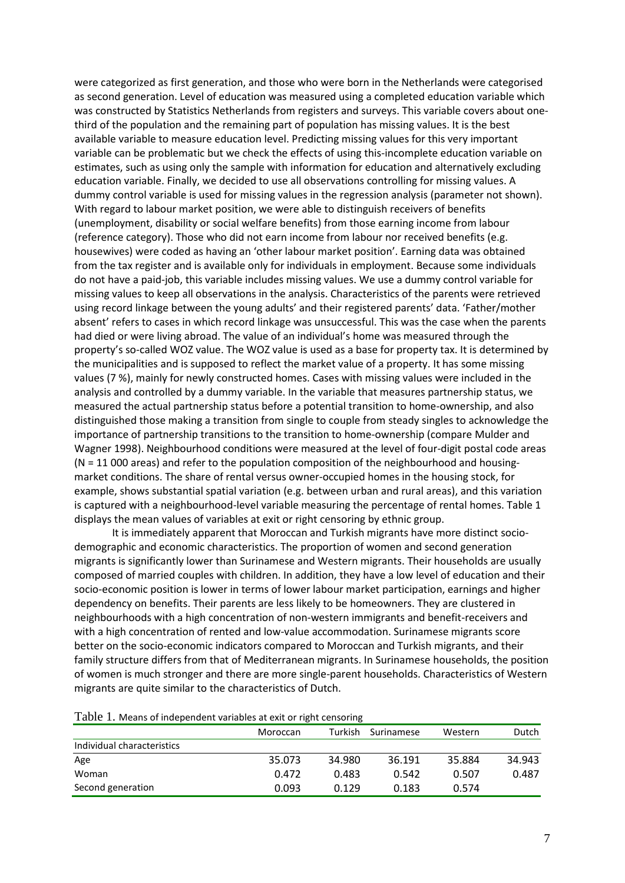were categorized as first generation, and those who were born in the Netherlands were categorised as second generation. Level of education was measured using a completed education variable which was constructed by Statistics Netherlands from registers and surveys. This variable covers about onethird of the population and the remaining part of population has missing values. It is the best available variable to measure education level. Predicting missing values for this very important variable can be problematic but we check the effects of using this-incomplete education variable on estimates, such as using only the sample with information for education and alternatively excluding education variable. Finally, we decided to use all observations controlling for missing values. A dummy control variable is used for missing values in the regression analysis (parameter not shown). With regard to labour market position, we were able to distinguish receivers of benefits (unemployment, disability or social welfare benefits) from those earning income from labour (reference category). Those who did not earn income from labour nor received benefits (e.g. housewives) were coded as having an 'other labour market position'. Earning data was obtained from the tax register and is available only for individuals in employment. Because some individuals do not have a paid-job, this variable includes missing values. We use a dummy control variable for missing values to keep all observations in the analysis. Characteristics of the parents were retrieved using record linkage between the young adults' and their registered parents' data. 'Father/mother absent' refers to cases in which record linkage was unsuccessful. This was the case when the parents had died or were living abroad. The value of an individual's home was measured through the property's so-called WOZ value. The WOZ value is used as a base for property tax. It is determined by the municipalities and is supposed to reflect the market value of a property. It has some missing values (7 %), mainly for newly constructed homes. Cases with missing values were included in the analysis and controlled by a dummy variable. In the variable that measures partnership status, we measured the actual partnership status before a potential transition to home-ownership, and also distinguished those making a transition from single to couple from steady singles to acknowledge the importance of partnership transitions to the transition to home-ownership (compare Mulder and Wagner 1998). Neighbourhood conditions were measured at the level of four-digit postal code areas  $(N = 11 000$  areas) and refer to the population composition of the neighbourhood and housingmarket conditions. The share of rental versus owner-occupied homes in the housing stock, for example, shows substantial spatial variation (e.g. between urban and rural areas), and this variation is captured with a neighbourhood-level variable measuring the percentage of rental homes. Table 1 displays the mean values of variables at exit or right censoring by ethnic group.

It is immediately apparent that Moroccan and Turkish migrants have more distinct sociodemographic and economic characteristics. The proportion of women and second generation migrants is significantly lower than Surinamese and Western migrants. Their households are usually composed of married couples with children. In addition, they have a low level of education and their socio-economic position is lower in terms of lower labour market participation, earnings and higher dependency on benefits. Their parents are less likely to be homeowners. They are clustered in neighbourhoods with a high concentration of non-western immigrants and benefit-receivers and with a high concentration of rented and low-value accommodation. Surinamese migrants score better on the socio-economic indicators compared to Moroccan and Turkish migrants, and their family structure differs from that of Mediterranean migrants. In Surinamese households, the position of women is much stronger and there are more single-parent households. Characteristics of Western migrants are quite similar to the characteristics of Dutch.

|                            | ້        |         |            |         |        |
|----------------------------|----------|---------|------------|---------|--------|
|                            | Moroccan | Turkish | Surinamese | Western | Dutch  |
| Individual characteristics |          |         |            |         |        |
| Age                        | 35.073   | 34.980  | 36.191     | 35.884  | 34.943 |
| Woman                      | 0.472    | 0.483   | 0.542      | 0.507   | 0.487  |
| Second generation          | 0.093    | 0.129   | 0.183      | 0.574   |        |

Table 1. Means of independent variables at exit or right censoring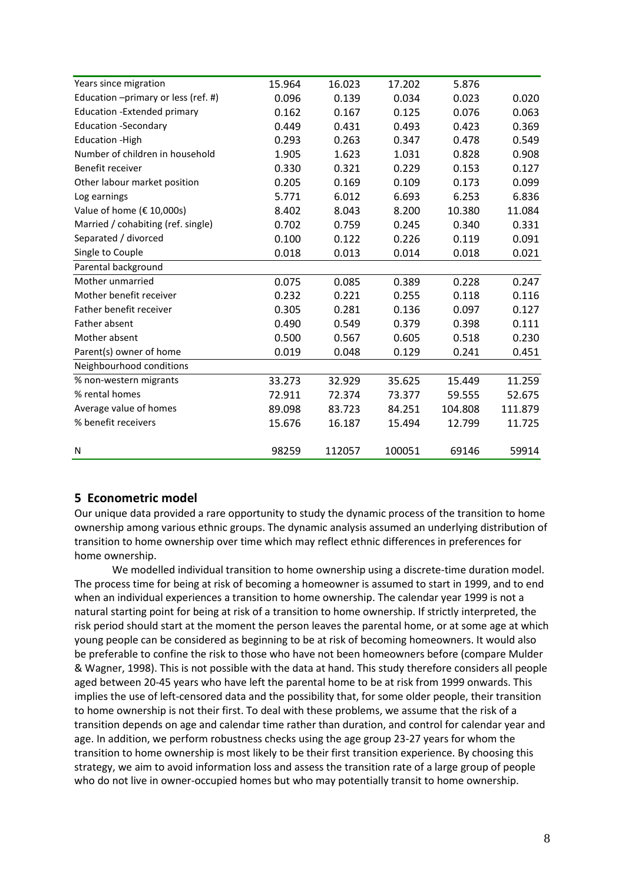| Years since migration                 | 15.964 | 16.023 | 17.202 | 5.876   |         |
|---------------------------------------|--------|--------|--------|---------|---------|
| Education $-primary$ or less (ref. #) | 0.096  | 0.139  | 0.034  | 0.023   | 0.020   |
| <b>Education -Extended primary</b>    | 0.162  | 0.167  | 0.125  | 0.076   | 0.063   |
| <b>Education -Secondary</b>           | 0.449  | 0.431  | 0.493  | 0.423   | 0.369   |
| <b>Education - High</b>               | 0.293  | 0.263  | 0.347  | 0.478   | 0.549   |
| Number of children in household       | 1.905  | 1.623  | 1.031  | 0.828   | 0.908   |
| Benefit receiver                      | 0.330  | 0.321  | 0.229  | 0.153   | 0.127   |
| Other labour market position          | 0.205  | 0.169  | 0.109  | 0.173   | 0.099   |
| Log earnings                          | 5.771  | 6.012  | 6.693  | 6.253   | 6.836   |
| Value of home ( $\epsilon$ 10,000s)   | 8.402  | 8.043  | 8.200  | 10.380  | 11.084  |
| Married / cohabiting (ref. single)    | 0.702  | 0.759  | 0.245  | 0.340   | 0.331   |
| Separated / divorced                  | 0.100  | 0.122  | 0.226  | 0.119   | 0.091   |
| Single to Couple                      | 0.018  | 0.013  | 0.014  | 0.018   | 0.021   |
| Parental background                   |        |        |        |         |         |
| Mother unmarried                      | 0.075  | 0.085  | 0.389  | 0.228   | 0.247   |
| Mother benefit receiver               | 0.232  | 0.221  | 0.255  | 0.118   | 0.116   |
| Father benefit receiver               | 0.305  | 0.281  | 0.136  | 0.097   | 0.127   |
| Father absent                         | 0.490  | 0.549  | 0.379  | 0.398   | 0.111   |
| Mother absent                         | 0.500  | 0.567  | 0.605  | 0.518   | 0.230   |
| Parent(s) owner of home               | 0.019  | 0.048  | 0.129  | 0.241   | 0.451   |
| Neighbourhood conditions              |        |        |        |         |         |
| % non-western migrants                | 33.273 | 32.929 | 35.625 | 15.449  | 11.259  |
| % rental homes                        | 72.911 | 72.374 | 73.377 | 59.555  | 52.675  |
| Average value of homes                | 89.098 | 83.723 | 84.251 | 104.808 | 111.879 |
| % benefit receivers                   | 15.676 | 16.187 | 15.494 | 12.799  | 11.725  |
| N                                     | 98259  | 112057 | 100051 | 69146   | 59914   |

#### **5 Econometric model**

Our unique data provided a rare opportunity to study the dynamic process of the transition to home ownership among various ethnic groups. The dynamic analysis assumed an underlying distribution of transition to home ownership over time which may reflect ethnic differences in preferences for home ownership.

We modelled individual transition to home ownership using a discrete-time duration model. The process time for being at risk of becoming a homeowner is assumed to start in 1999, and to end when an individual experiences a transition to home ownership. The calendar year 1999 is not a natural starting point for being at risk of a transition to home ownership. If strictly interpreted, the risk period should start at the moment the person leaves the parental home, or at some age at which young people can be considered as beginning to be at risk of becoming homeowners. It would also be preferable to confine the risk to those who have not been homeowners before (compare Mulder & Wagner, 1998). This is not possible with the data at hand. This study therefore considers all people aged between 20-45 years who have left the parental home to be at risk from 1999 onwards. This implies the use of left-censored data and the possibility that, for some older people, their transition to home ownership is not their first. To deal with these problems, we assume that the risk of a transition depends on age and calendar time rather than duration, and control for calendar year and age. In addition, we perform robustness checks using the age group 23-27 years for whom the transition to home ownership is most likely to be their first transition experience. By choosing this strategy, we aim to avoid information loss and assess the transition rate of a large group of people who do not live in owner-occupied homes but who may potentially transit to home ownership.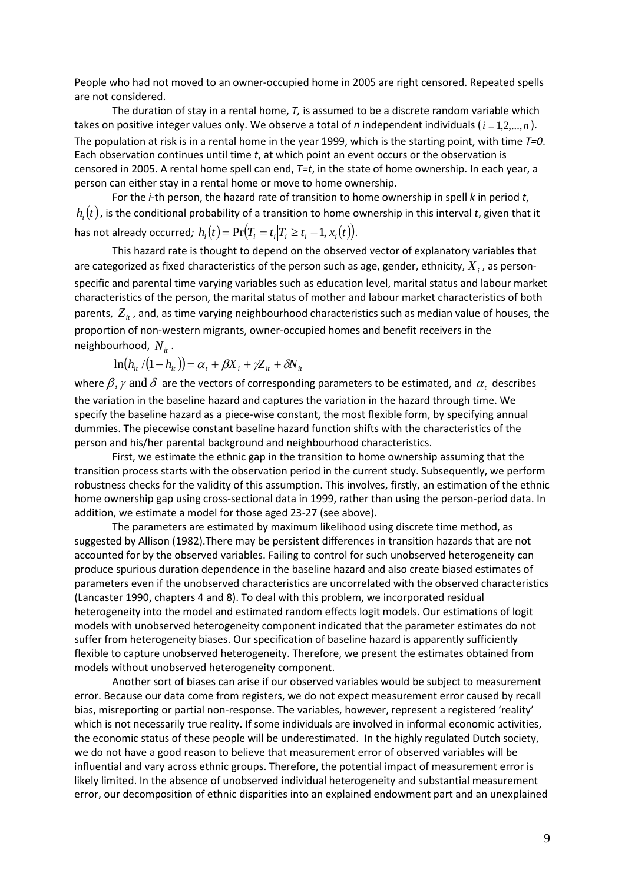People who had not moved to an owner-occupied home in 2005 are right censored. Repeated spells are not considered.

The duration of stay in a rental home, *T,* is assumed to be a discrete random variable which takes on positive integer values only. We observe a total of *n* independent individuals (*i* = 1,2,...,*n* ). The population at risk is in a rental home in the year 1999, which is the starting point, with time *T=0*. Each observation continues until time *t*, at which point an event occurs or the observation is censored in 2005. A rental home spell can end, *T=t*, in the state of home ownership. In each year, a person can either stay in a rental home or move to home ownership.

For the *i*-th person, the hazard rate of transition to home ownership in spell *k* in period *t*,  $h_i(t)$ , is the conditional probability of a transition to home ownership in this interval *t*, given that it has not already occurred;  $h_i(t) = \Pr(T_i = t_i | T_i \ge t_i - 1, x_i(t)).$ 

This hazard rate is thought to depend on the observed vector of explanatory variables that are categorized as fixed characteristics of the person such as age, gender, ethnicity,  $X_i$ , as personspecific and parental time varying variables such as education level, marital status and labour market characteristics of the person, the marital status of mother and labour market characteristics of both parents,  $Z_{it}$ , and, as time varying neighbourhood characteristics such as median value of houses, the proportion of non-western migrants, owner-occupied homes and benefit receivers in the neighbourhood,  $N_{it}$ .

 $\ln ( h_{ii} / ( 1 - h_{ii} ) ) = \alpha_i + \beta X_i + \gamma Z_{ii} + \delta N_{ii}$ 

where  $\beta$ ,  $\gamma$  and  $\delta$  are the vectors of corresponding parameters to be estimated, and  $\alpha$ , describes the variation in the baseline hazard and captures the variation in the hazard through time. We specify the baseline hazard as a piece-wise constant, the most flexible form, by specifying annual dummies. The piecewise constant baseline hazard function shifts with the characteristics of the person and his/her parental background and neighbourhood characteristics.

First, we estimate the ethnic gap in the transition to home ownership assuming that the transition process starts with the observation period in the current study. Subsequently, we perform robustness checks for the validity of this assumption. This involves, firstly, an estimation of the ethnic home ownership gap using cross-sectional data in 1999, rather than using the person-period data. In addition, we estimate a model for those aged 23-27 (see above).

The parameters are estimated by maximum likelihood using discrete time method, as suggested by Allison (1982).There may be persistent differences in transition hazards that are not accounted for by the observed variables. Failing to control for such unobserved heterogeneity can produce spurious duration dependence in the baseline hazard and also create biased estimates of parameters even if the unobserved characteristics are uncorrelated with the observed characteristics (Lancaster 1990, chapters 4 and 8). To deal with this problem, we incorporated residual heterogeneity into the model and estimated random effects logit models. Our estimations of logit models with unobserved heterogeneity component indicated that the parameter estimates do not suffer from heterogeneity biases. Our specification of baseline hazard is apparently sufficiently flexible to capture unobserved heterogeneity. Therefore, we present the estimates obtained from models without unobserved heterogeneity component.

Another sort of biases can arise if our observed variables would be subject to measurement error. Because our data come from registers, we do not expect measurement error caused by recall bias, misreporting or partial non-response. The variables, however, represent a registered 'reality' which is not necessarily true reality. If some individuals are involved in informal economic activities, the economic status of these people will be underestimated. In the highly regulated Dutch society, we do not have a good reason to believe that measurement error of observed variables will be influential and vary across ethnic groups. Therefore, the potential impact of measurement error is likely limited. In the absence of unobserved individual heterogeneity and substantial measurement error, our decomposition of ethnic disparities into an explained endowment part and an unexplained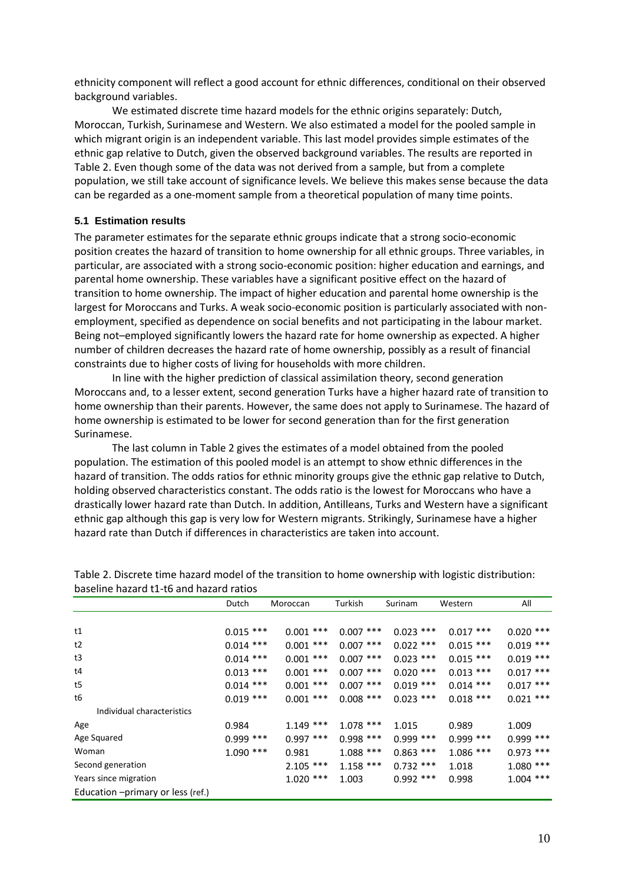ethnicity component will reflect a good account for ethnic differences, conditional on their observed background variables.

We estimated discrete time hazard models for the ethnic origins separately: Dutch, Moroccan, Turkish, Surinamese and Western. We also estimated a model for the pooled sample in which migrant origin is an independent variable. This last model provides simple estimates of the ethnic gap relative to Dutch, given the observed background variables. The results are reported in Table 2. Even though some of the data was not derived from a sample, but from a complete population, we still take account of significance levels. We believe this makes sense because the data can be regarded as a one-moment sample from a theoretical population of many time points.

#### **5.1 Estimation results**

The parameter estimates for the separate ethnic groups indicate that a strong socio-economic position creates the hazard of transition to home ownership for all ethnic groups. Three variables, in particular, are associated with a strong socio-economic position: higher education and earnings, and parental home ownership. These variables have a significant positive effect on the hazard of transition to home ownership. The impact of higher education and parental home ownership is the largest for Moroccans and Turks. A weak socio-economic position is particularly associated with nonemployment, specified as dependence on social benefits and not participating in the labour market. Being not–employed significantly lowers the hazard rate for home ownership as expected. A higher number of children decreases the hazard rate of home ownership, possibly as a result of financial constraints due to higher costs of living for households with more children.

In line with the higher prediction of classical assimilation theory, second generation Moroccans and, to a lesser extent, second generation Turks have a higher hazard rate of transition to home ownership than their parents. However, the same does not apply to Surinamese. The hazard of home ownership is estimated to be lower for second generation than for the first generation Surinamese.

The last column in Table 2 gives the estimates of a model obtained from the pooled population. The estimation of this pooled model is an attempt to show ethnic differences in the hazard of transition. The odds ratios for ethnic minority groups give the ethnic gap relative to Dutch, holding observed characteristics constant. The odds ratio is the lowest for Moroccans who have a drastically lower hazard rate than Dutch. In addition, Antilleans, Turks and Western have a significant ethnic gap although this gap is very low for Western migrants. Strikingly, Surinamese have a higher hazard rate than Dutch if differences in characteristics are taken into account.

|                                   | Dutch       | Moroccan    | Turkish     | Surinam     | Western     | All         |
|-----------------------------------|-------------|-------------|-------------|-------------|-------------|-------------|
|                                   |             |             |             |             |             |             |
| t1                                | $0.015$ *** | $0.001$ *** | $0.007$ *** | $0.023$ *** | $0.017$ *** | $0.020$ *** |
| t2                                | $0.014$ *** | $0.001$ *** | $0.007$ *** | $0.022$ *** | $0.015$ *** | $0.019$ *** |
| t3                                | $0.014$ *** | $0.001$ *** | $0.007$ *** | $0.023$ *** | $0.015$ *** | $0.019$ *** |
| t4                                | $0.013$ *** | $0.001$ *** | $0.007$ *** | $0.020$ *** | $0.013$ *** | $0.017$ *** |
| t5                                | $0.014$ *** | $0.001$ *** | $0.007$ *** | $0.019$ *** | $0.014$ *** | $0.017$ *** |
| t6                                | $0.019$ *** | $0.001$ *** | $0.008$ *** | $0.023$ *** | $0.018$ *** | $0.021$ *** |
| Individual characteristics        |             |             |             |             |             |             |
| Age                               | 0.984       | $1.149$ *** | $1.078$ *** | 1.015       | 0.989       | 1.009       |
| Age Squared                       | $0.999$ *** | $0.997$ *** | $0.998$ *** | $0.999$ *** | $0.999$ *** | $0.999$ *** |
| Woman                             | $1.090***$  | 0.981       | $1.088***$  | $0.863$ *** | $1.086$ *** | $0.973$ *** |
| Second generation                 |             | $2.105$ *** | $1.158$ *** | $0.732$ *** | 1.018       | $1.080$ *** |
| Years since migration             |             | $1.020$ *** | 1.003       | $0.992$ *** | 0.998       | $1.004$ *** |
| Education -primary or less (ref.) |             |             |             |             |             |             |

Table 2. Discrete time hazard model of the transition to home ownership with logistic distribution: baseline hazard t1-t6 and hazard ratios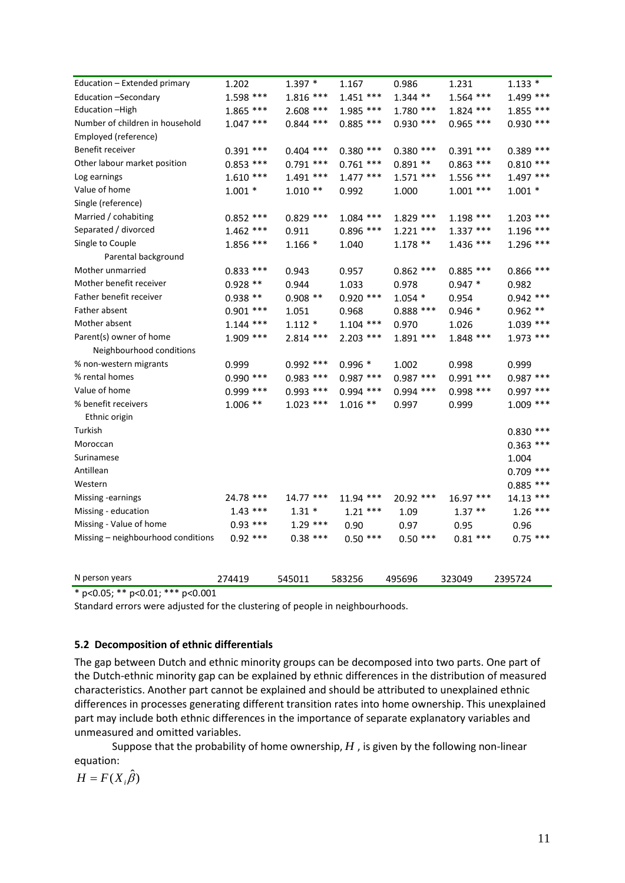| Education - Extended primary       | 1.202       | $1.397*$    | 1.167       | 0.986       | 1.231       | $1.133*$    |
|------------------------------------|-------------|-------------|-------------|-------------|-------------|-------------|
| Education -Secondary               | $1.598$ *** | $1.816***$  | $1.451$ *** | $1.344**$   | $1.564$ *** | 1.499 ***   |
| Education-High                     | $1.865***$  | $2.608$ *** | 1.985 ***   | $1.780$ *** | $1.824$ *** | $1.855$ *** |
| Number of children in household    | $1.047***$  | $0.844$ *** | $0.885$ *** | $0.930$ *** | $0.965$ *** | $0.930$ *** |
| Employed (reference)               |             |             |             |             |             |             |
| Benefit receiver                   | $0.391$ *** | $0.404$ *** | $0.380$ *** | $0.380$ *** | $0.391$ *** | $0.389$ *** |
| Other labour market position       | $0.853$ *** | $0.791$ *** | $0.761$ *** | $0.891**$   | $0.863$ *** | $0.810***$  |
| Log earnings                       | $1.610***$  | $1.491$ *** | $1.477$ *** | $1.571$ *** | $1.556$ *** | $1.497$ *** |
| Value of home                      | $1.001*$    | $1.010**$   | 0.992       | 1.000       | $1.001$ *** | $1.001 *$   |
| Single (reference)                 |             |             |             |             |             |             |
| Married / cohabiting               | $0.852$ *** | $0.829$ *** | $1.084$ *** | $1.829$ *** | $1.198$ *** | $1.203$ *** |
| Separated / divorced               | $1.462$ *** | 0.911       | $0.896$ *** | $1.221$ *** | $1.337***$  | $1.196$ *** |
| Single to Couple                   | $1.856$ *** | $1.166*$    | 1.040       | $1.178**$   | $1.436$ *** | $1.296$ *** |
| Parental background                |             |             |             |             |             |             |
| Mother unmarried                   | $0.833$ *** | 0.943       | 0.957       | $0.862$ *** | $0.885$ *** | $0.866$ *** |
| Mother benefit receiver            | $0.928**$   | 0.944       | 1.033       | 0.978       | $0.947*$    | 0.982       |
| Father benefit receiver            | $0.938**$   | $0.908**$   | $0.920$ *** | $1.054*$    | 0.954       | $0.942$ *** |
| Father absent                      | $0.901$ *** | 1.051       | 0.968       | $0.888***$  | $0.946*$    | $0.962**$   |
| Mother absent                      | $1.144$ *** | $1.112*$    | $1.104$ *** | 0.970       | 1.026       | $1.039$ *** |
| Parent(s) owner of home            | $1.909$ *** | $2.814$ *** | $2.203$ *** | 1.891 ***   | $1.848$ *** | $1.973$ *** |
| Neighbourhood conditions           |             |             |             |             |             |             |
| % non-western migrants             | 0.999       | $0.992$ *** | $0.996*$    | 1.002       | 0.998       | 0.999       |
| % rental homes                     | $0.990$ *** | $0.983$ *** | $0.987$ *** | $0.987$ *** | $0.991$ *** | $0.987$ *** |
| Value of home                      | $0.999$ *** | $0.993$ *** | $0.994$ *** | $0.994$ *** | $0.998$ *** | $0.997$ *** |
| % benefit receivers                | $1.006**$   | $1.023$ *** | $1.016**$   | 0.997       | 0.999       | $1.009$ *** |
| Ethnic origin                      |             |             |             |             |             |             |
| Turkish                            |             |             |             |             |             | $0.830$ *** |
| Moroccan                           |             |             |             |             |             | $0.363$ *** |
| Surinamese                         |             |             |             |             |             | 1.004       |
| Antillean                          |             |             |             |             |             | $0.709$ *** |
| Western                            |             |             |             |             |             | $0.885$ *** |
| Missing -earnings                  | 24.78 ***   | $14.77$ *** | 11.94 ***   | $20.92$ *** | $16.97***$  | $14.13***$  |
| Missing - education                | $1.43***$   | $1.31 *$    | $1.21***$   | 1.09        | $1.37**$    | $1.26$ ***  |
| Missing - Value of home            | $0.93***$   | $1.29$ ***  | 0.90        | 0.97        | 0.95        | 0.96        |
| Missing - neighbourhood conditions | $0.92$ ***  | $0.38***$   | $0.50***$   | $0.50***$   | $0.81***$   | $0.75$ ***  |
|                                    |             |             |             |             |             |             |

N person years 274419 545011 583256 495696 323049 2395724

 $*$  p<0.05; \*\* p<0.01; \*\*\* p<0.001

Standard errors were adjusted for the clustering of people in neighbourhoods.

#### **5.2 Decomposition of ethnic differentials**

The gap between Dutch and ethnic minority groups can be decomposed into two parts. One part of the Dutch-ethnic minority gap can be explained by ethnic differences in the distribution of measured characteristics. Another part cannot be explained and should be attributed to unexplained ethnic differences in processes generating different transition rates into home ownership. This unexplained part may include both ethnic differences in the importance of separate explanatory variables and unmeasured and omitted variables.

Suppose that the probability of home ownership, *H* , is given by the following non-linear equation:

 $H = F(X_i \hat{\beta})$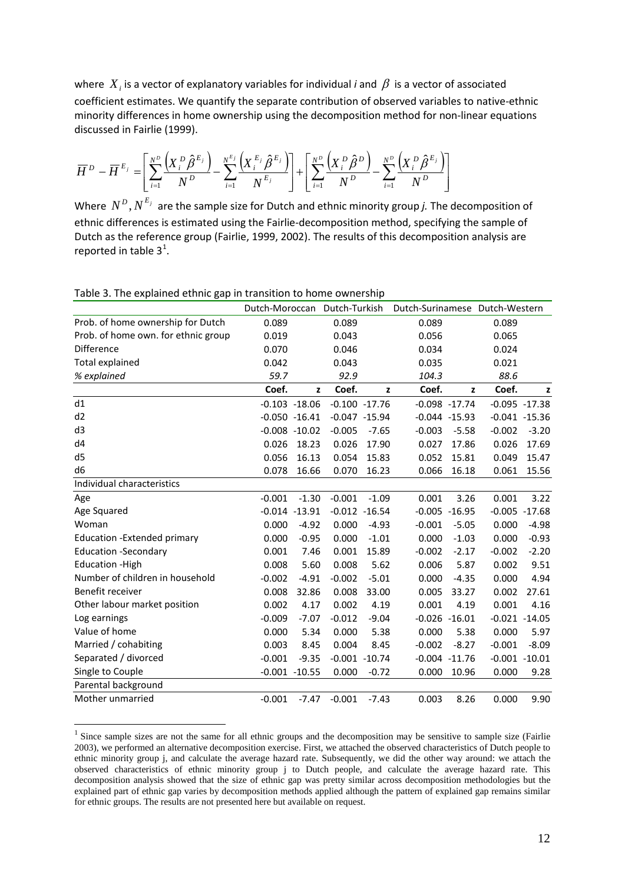where  $X_i$  is a vector of explanatory variables for individual *i* and  $\beta$  is a vector of associated coefficient estimates. We quantify the separate contribution of observed variables to native-ethnic minority differences in home ownership using the decomposition method for non-linear equations discussed in Fairlie (1999).

$$
\overline{H}^{D} - \overline{H}^{E_{j}} = \left[ \sum_{i=1}^{N^{D}} \frac{\left(X_{i}^{D} \hat{\beta}^{E_{j}}\right)}{N^{D}} - \sum_{i=1}^{N^{E_{j}}}\frac{\left(X_{i}^{E_{j}} \hat{\beta}^{E_{j}}\right)}{N^{E_{j}}}\right] + \left[ \sum_{i=1}^{N^{D}} \frac{\left(X_{i}^{D} \hat{\beta}^{D}\right)}{N^{D}} - \sum_{i=1}^{N^{D}} \frac{\left(X_{i}^{D} \hat{\beta}^{E_{j}}\right)}{N^{D}}\right]
$$

Where  $N^D, N^{E_j}$  are the sample size for Dutch and ethnic minority group *j*. The decomposition of ethnic differences is estimated using the Fairlie-decomposition method, specifying the sample of Dutch as the reference group (Fairlie, 1999, 2002). The results of this decomposition analysis are reported in table  $3^1$  $3^1$ .

|                                     | Dutch-Moroccan |                  | Dutch-Turkish    |         |          |                  | Dutch-Surinamese Dutch-Western |                  |
|-------------------------------------|----------------|------------------|------------------|---------|----------|------------------|--------------------------------|------------------|
| Prob. of home ownership for Dutch   | 0.089          |                  | 0.089            |         | 0.089    |                  | 0.089                          |                  |
| Prob. of home own. for ethnic group | 0.019          |                  | 0.043            |         | 0.056    |                  | 0.065                          |                  |
| <b>Difference</b>                   | 0.070          |                  | 0.046            |         | 0.034    |                  | 0.024                          |                  |
| <b>Total explained</b>              | 0.042          |                  | 0.043            |         | 0.035    |                  | 0.021                          |                  |
| % explained                         | 59.7           |                  | 92.9             |         | 104.3    |                  | 88.6                           |                  |
|                                     | Coef.          | z                | Coef.            | z       | Coef.    | z                | Coef.                          | z                |
| d1                                  |                | $-0.103 - 18.06$ | $-0.100 - 17.76$ |         |          | $-0.098 - 17.74$ |                                | $-0.095 -17.38$  |
| d2                                  |                | $-0.050 - 16.41$ | $-0.047 - 15.94$ |         |          | $-0.044 - 15.93$ |                                | $-0.041 - 15.36$ |
| d3                                  |                | $-0.008 - 10.02$ | $-0.005$         | $-7.65$ | $-0.003$ | $-5.58$          | $-0.002$                       | $-3.20$          |
| d4                                  | 0.026          | 18.23            | 0.026            | 17.90   | 0.027    | 17.86            | 0.026                          | 17.69            |
| d5                                  | 0.056          | 16.13            | 0.054            | 15.83   | 0.052    | 15.81            | 0.049                          | 15.47            |
| d6                                  | 0.078          | 16.66            | 0.070            | 16.23   | 0.066    | 16.18            | 0.061                          | 15.56            |
| Individual characteristics          |                |                  |                  |         |          |                  |                                |                  |
| Age                                 | $-0.001$       | $-1.30$          | $-0.001$         | $-1.09$ | 0.001    | 3.26             | 0.001                          | 3.22             |
| Age Squared                         |                | $-0.014 - 13.91$ | $-0.012 - 16.54$ |         |          | $-0.005 - 16.95$ |                                | $-0.005 -17.68$  |
| Woman                               | 0.000          | $-4.92$          | 0.000            | $-4.93$ | $-0.001$ | $-5.05$          | 0.000                          | $-4.98$          |
| Education - Extended primary        | 0.000          | $-0.95$          | 0.000            | $-1.01$ | 0.000    | $-1.03$          | 0.000                          | $-0.93$          |
| <b>Education -Secondary</b>         | 0.001          | 7.46             | 0.001            | 15.89   | $-0.002$ | $-2.17$          | $-0.002$                       | $-2.20$          |
| <b>Education - High</b>             | 0.008          | 5.60             | 0.008            | 5.62    | 0.006    | 5.87             | 0.002                          | 9.51             |
| Number of children in household     | $-0.002$       | $-4.91$          | $-0.002$         | $-5.01$ | 0.000    | $-4.35$          | 0.000                          | 4.94             |
| Benefit receiver                    | 0.008          | 32.86            | 0.008            | 33.00   | 0.005    | 33.27            | 0.002                          | 27.61            |
| Other labour market position        | 0.002          | 4.17             | 0.002            | 4.19    | 0.001    | 4.19             | 0.001                          | 4.16             |
| Log earnings                        | $-0.009$       | $-7.07$          | $-0.012$         | $-9.04$ |          | $-0.026 - 16.01$ |                                | $-0.021 - 14.05$ |
| Value of home                       | 0.000          | 5.34             | 0.000            | 5.38    | 0.000    | 5.38             | 0.000                          | 5.97             |
| Married / cohabiting                | 0.003          | 8.45             | 0.004            | 8.45    | $-0.002$ | $-8.27$          | $-0.001$                       | $-8.09$          |
| Separated / divorced                | $-0.001$       | $-9.35$          | $-0.001 - 10.74$ |         |          | $-0.004 -11.76$  | $-0.001 - 10.01$               |                  |
| Single to Couple                    |                | $-0.001 - 10.55$ | 0.000            | $-0.72$ | 0.000    | 10.96            | 0.000                          | 9.28             |
| Parental background                 |                |                  |                  |         |          |                  |                                |                  |
| Mother unmarried                    | $-0.001$       | $-7.47$          | $-0.001$         | $-7.43$ | 0.003    | 8.26             | 0.000                          | 9.90             |
|                                     |                |                  |                  |         |          |                  |                                |                  |

Table 3. The explained ethnic gap in transition to home ownership

-

<span id="page-13-0"></span> $1$  Since sample sizes are not the same for all ethnic groups and the decomposition may be sensitive to sample size (Fairlie 2003), we performed an alternative decomposition exercise. First, we attached the observed characteristics of Dutch people to ethnic minority group j, and calculate the average hazard rate. Subsequently, we did the other way around: we attach the observed characteristics of ethnic minority group j to Dutch people, and calculate the average hazard rate. This decomposition analysis showed that the size of ethnic gap was pretty similar across decomposition methodologies but the explained part of ethnic gap varies by decomposition methods applied although the pattern of explained gap remains similar for ethnic groups. The results are not presented here but available on request.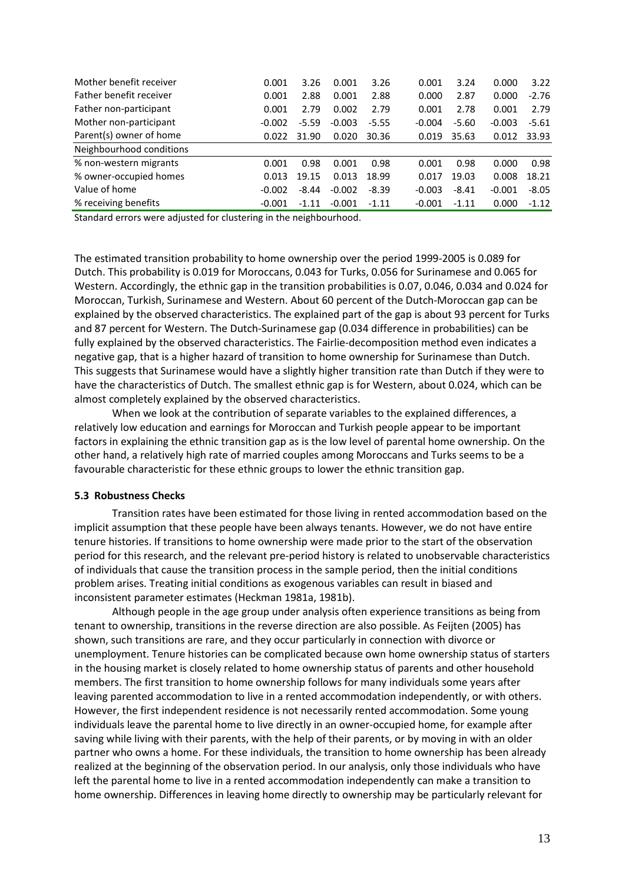| Mother benefit receiver  | 0.001    | 3.26    | 0.001    | 3.26    | 0.001    | 3.24    | 0.000    | 3.22    |
|--------------------------|----------|---------|----------|---------|----------|---------|----------|---------|
| Father benefit receiver  | 0.001    | 2.88    | 0.001    | 2.88    | 0.000    | 2.87    | 0.000    | $-2.76$ |
| Father non-participant   | 0.001    | 2.79    | 0.002    | 2.79    | 0.001    | 2.78    | 0.001    | 2.79    |
| Mother non-participant   | $-0.002$ | $-5.59$ | $-0.003$ | $-5.55$ | $-0.004$ | $-5.60$ | $-0.003$ | $-5.61$ |
| Parent(s) owner of home  | 0.022    | 31.90   | 0.020    | 30.36   | 0.019    | 35.63   | 0.012    | 33.93   |
| Neighbourhood conditions |          |         |          |         |          |         |          |         |
| % non-western migrants   | 0.001    | 0.98    | 0.001    | 0.98    | 0.001    | 0.98    | 0.000    | 0.98    |
| % owner-occupied homes   | 0.013    | 19.15   | 0.013    | 18.99   | 0.017    | 19.03   | 0.008    | 18.21   |
| Value of home            | $-0.002$ | $-8.44$ | $-0.002$ | $-8.39$ | $-0.003$ | $-8.41$ | $-0.001$ | $-8.05$ |
| % receiving benefits     | $-0.001$ | $-1.11$ | $-0.001$ | $-1.11$ | $-0.001$ | $-1.11$ | 0.000    | $-1.12$ |

Standard errors were adjusted for clustering in the neighbourhood.

The estimated transition probability to home ownership over the period 1999-2005 is 0.089 for Dutch. This probability is 0.019 for Moroccans, 0.043 for Turks, 0.056 for Surinamese and 0.065 for Western. Accordingly, the ethnic gap in the transition probabilities is 0.07, 0.046, 0.034 and 0.024 for Moroccan, Turkish, Surinamese and Western. About 60 percent of the Dutch-Moroccan gap can be explained by the observed characteristics. The explained part of the gap is about 93 percent for Turks and 87 percent for Western. The Dutch-Surinamese gap (0.034 difference in probabilities) can be fully explained by the observed characteristics. The Fairlie-decomposition method even indicates a negative gap, that is a higher hazard of transition to home ownership for Surinamese than Dutch. This suggests that Surinamese would have a slightly higher transition rate than Dutch if they were to have the characteristics of Dutch. The smallest ethnic gap is for Western, about 0.024, which can be almost completely explained by the observed characteristics.

When we look at the contribution of separate variables to the explained differences, a relatively low education and earnings for Moroccan and Turkish people appear to be important factors in explaining the ethnic transition gap as is the low level of parental home ownership. On the other hand, a relatively high rate of married couples among Moroccans and Turks seems to be a favourable characteristic for these ethnic groups to lower the ethnic transition gap.

#### **5.3 Robustness Checks**

Transition rates have been estimated for those living in rented accommodation based on the implicit assumption that these people have been always tenants. However, we do not have entire tenure histories. If transitions to home ownership were made prior to the start of the observation period for this research, and the relevant pre-period history is related to unobservable characteristics of individuals that cause the transition process in the sample period, then the initial conditions problem arises. Treating initial conditions as exogenous variables can result in biased and inconsistent parameter estimates (Heckman 1981a, 1981b).

Although people in the age group under analysis often experience transitions as being from tenant to ownership, transitions in the reverse direction are also possible. As Feijten (2005) has shown, such transitions are rare, and they occur particularly in connection with divorce or unemployment. Tenure histories can be complicated because own home ownership status of starters in the housing market is closely related to home ownership status of parents and other household members. The first transition to home ownership follows for many individuals some years after leaving parented accommodation to live in a rented accommodation independently, or with others. However, the first independent residence is not necessarily rented accommodation. Some young individuals leave the parental home to live directly in an owner-occupied home, for example after saving while living with their parents, with the help of their parents, or by moving in with an older partner who owns a home. For these individuals, the transition to home ownership has been already realized at the beginning of the observation period. In our analysis, only those individuals who have left the parental home to live in a rented accommodation independently can make a transition to home ownership. Differences in leaving home directly to ownership may be particularly relevant for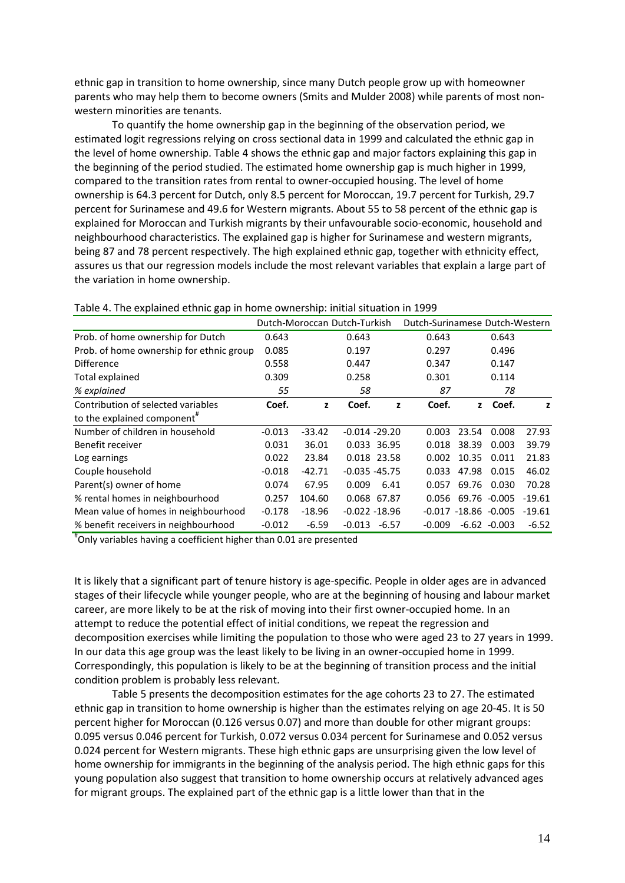ethnic gap in transition to home ownership, since many Dutch people grow up with homeowner parents who may help them to become owners (Smits and Mulder 2008) while parents of most nonwestern minorities are tenants.

To quantify the home ownership gap in the beginning of the observation period, we estimated logit regressions relying on cross sectional data in 1999 and calculated the ethnic gap in the level of home ownership. Table 4 shows the ethnic gap and major factors explaining this gap in the beginning of the period studied. The estimated home ownership gap is much higher in 1999, compared to the transition rates from rental to owner-occupied housing. The level of home ownership is 64.3 percent for Dutch, only 8.5 percent for Moroccan, 19.7 percent for Turkish, 29.7 percent for Surinamese and 49.6 for Western migrants. About 55 to 58 percent of the ethnic gap is explained for Moroccan and Turkish migrants by their unfavourable socio-economic, household and neighbourhood characteristics. The explained gap is higher for Surinamese and western migrants, being 87 and 78 percent respectively. The high explained ethnic gap, together with ethnicity effect, assures us that our regression models include the most relevant variables that explain a large part of the variation in home ownership.

|                                          |          |          | Dutch-Moroccan Dutch-Turkish |             | Dutch-Surinamese Dutch-Western |       |                          |          |
|------------------------------------------|----------|----------|------------------------------|-------------|--------------------------------|-------|--------------------------|----------|
| Prob. of home ownership for Dutch        | 0.643    |          | 0.643                        |             | 0.643                          |       | 0.643                    |          |
| Prob. of home ownership for ethnic group | 0.085    |          | 0.197                        |             | 0.297                          |       | 0.496                    |          |
| <b>Difference</b>                        | 0.558    |          | 0.447                        |             | 0.347                          |       | 0.147                    |          |
| Total explained                          | 0.309    |          | 0.258                        |             | 0.301                          |       | 0.114                    |          |
| % explained                              | 55       |          | 58                           |             | 87                             |       | 78                       |          |
| Contribution of selected variables       | Coef.    | z        | Coef.                        | z           | Coef.                          | z     | Coef.                    | z        |
| to the explained component <sup>#</sup>  |          |          |                              |             |                                |       |                          |          |
| Number of children in household          | $-0.013$ | $-33.42$ | $-0.014 - 29.20$             |             | 0.003                          | 23.54 | 0.008                    | 27.93    |
| Benefit receiver                         | 0.031    | 36.01    |                              | 0.033 36.95 | 0.018                          | 38.39 | 0.003                    | 39.79    |
| Log earnings                             | 0.022    | 23.84    |                              | 0.018 23.58 | 0.002                          | 10.35 | 0.011                    | 21.83    |
| Couple household                         | $-0.018$ | $-42.71$ | $-0.035 - 45.75$             |             | 0.033                          | 47.98 | 0.015                    | 46.02    |
| Parent(s) owner of home                  | 0.074    | 67.95    | 0.009                        | 6.41        | 0.057                          | 69.76 | 0.030                    | 70.28    |
| % rental homes in neighbourhood          | 0.257    | 104.60   |                              | 0.068 67.87 | 0.056                          |       | 69.76 -0.005             | $-19.61$ |
| Mean value of homes in neighbourhood     | $-0.178$ | $-18.96$ | $-0.022 - 18.96$             |             |                                |       | $-0.017 - 18.86 - 0.005$ | $-19.61$ |
| % benefit receivers in neighbourhood     | $-0.012$ | $-6.59$  | $-0.013$                     | $-6.57$     | $-0.009$                       |       | $-6.62 -0.003$           | $-6.52$  |

#### Table 4. The explained ethnic gap in home ownership: initial situation in 1999

# Only variables having a coefficient higher than 0.01 are presented

It is likely that a significant part of tenure history is age-specific. People in older ages are in advanced stages of their lifecycle while younger people, who are at the beginning of housing and labour market career, are more likely to be at the risk of moving into their first owner-occupied home. In an attempt to reduce the potential effect of initial conditions, we repeat the regression and decomposition exercises while limiting the population to those who were aged 23 to 27 years in 1999. In our data this age group was the least likely to be living in an owner-occupied home in 1999. Correspondingly, this population is likely to be at the beginning of transition process and the initial condition problem is probably less relevant.

Table 5 presents the decomposition estimates for the age cohorts 23 to 27. The estimated ethnic gap in transition to home ownership is higher than the estimates relying on age 20-45. It is 50 percent higher for Moroccan (0.126 versus 0.07) and more than double for other migrant groups: 0.095 versus 0.046 percent for Turkish, 0.072 versus 0.034 percent for Surinamese and 0.052 versus 0.024 percent for Western migrants. These high ethnic gaps are unsurprising given the low level of home ownership for immigrants in the beginning of the analysis period. The high ethnic gaps for this young population also suggest that transition to home ownership occurs at relatively advanced ages for migrant groups. The explained part of the ethnic gap is a little lower than that in the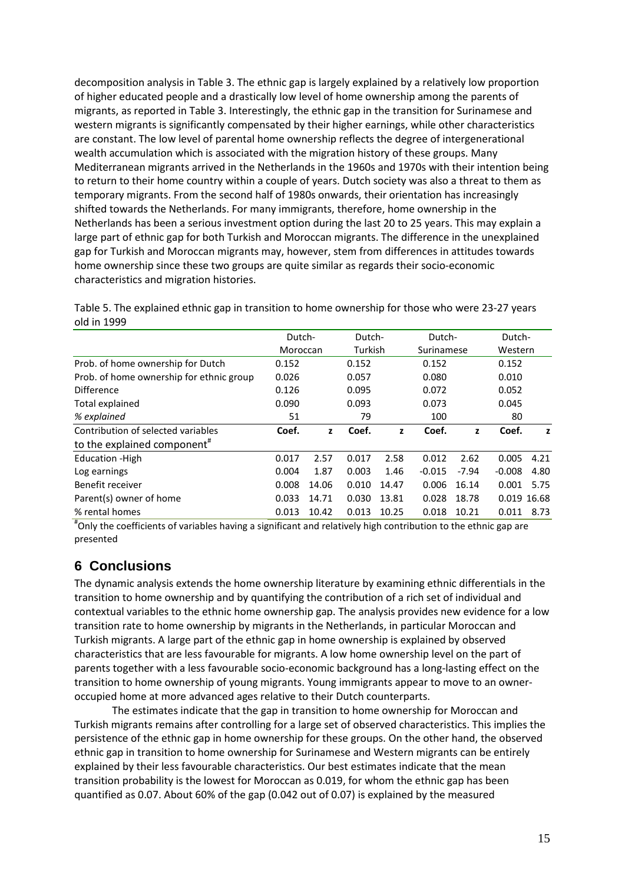decomposition analysis in Table 3. The ethnic gap is largely explained by a relatively low proportion of higher educated people and a drastically low level of home ownership among the parents of migrants, as reported in Table 3. Interestingly, the ethnic gap in the transition for Surinamese and western migrants is significantly compensated by their higher earnings, while other characteristics are constant. The low level of parental home ownership reflects the degree of intergenerational wealth accumulation which is associated with the migration history of these groups. Many Mediterranean migrants arrived in the Netherlands in the 1960s and 1970s with their intention being to return to their home country within a couple of years. Dutch society was also a threat to them as temporary migrants. From the second half of 1980s onwards, their orientation has increasingly shifted towards the Netherlands. For many immigrants, therefore, home ownership in the Netherlands has been a serious investment option during the last 20 to 25 years. This may explain a large part of ethnic gap for both Turkish and Moroccan migrants. The difference in the unexplained gap for Turkish and Moroccan migrants may, however, stem from differences in attitudes towards home ownership since these two groups are quite similar as regards their socio-economic characteristics and migration histories.

Table 5. The explained ethnic gap in transition to home ownership for those who were 23-27 years old in 1999

|                                          | Dutch-   |       | Dutch-  |       |            | Dutch-  |             | Dutch- |
|------------------------------------------|----------|-------|---------|-------|------------|---------|-------------|--------|
|                                          | Moroccan |       | Turkish |       | Surinamese |         | Western     |        |
| Prob. of home ownership for Dutch        | 0.152    |       | 0.152   |       | 0.152      |         | 0.152       |        |
| Prob. of home ownership for ethnic group | 0.026    |       | 0.057   |       | 0.080      |         | 0.010       |        |
| <b>Difference</b>                        | 0.126    |       | 0.095   |       | 0.072      |         | 0.052       |        |
| Total explained                          | 0.090    |       | 0.093   |       | 0.073      |         | 0.045       |        |
| % explained                              | 51       |       | 79      |       | 100        |         | 80          |        |
| Contribution of selected variables       | Coef.    | z     | Coef.   | z     | Coef.      | z       | Coef.       | z      |
| to the explained component <sup>#</sup>  |          |       |         |       |            |         |             |        |
| <b>Education - High</b>                  | 0.017    | 2.57  | 0.017   | 2.58  | 0.012      | 2.62    | 0.005       | 4.21   |
| Log earnings                             | 0.004    | 1.87  | 0.003   | 1.46  | $-0.015$   | $-7.94$ | $-0.008$    | 4.80   |
| Benefit receiver                         | 0.008    | 14.06 | 0.010   | 14.47 | 0.006      | 16.14   | 0.001       | 5.75   |
| Parent(s) owner of home                  | 0.033    | 14.71 | 0.030   | 13.81 | 0.028      | 18.78   | 0.019 16.68 |        |
| % rental homes                           | 0.013    | 10.42 | 0.013   | 10.25 | 0.018      | 10.21   | 0.011       | 8.73   |
|                                          |          |       |         |       |            |         |             |        |

# Only the coefficients of variables having a significant and relatively high contribution to the ethnic gap are presented

### **6 Conclusions**

The dynamic analysis extends the home ownership literature by examining ethnic differentials in the transition to home ownership and by quantifying the contribution of a rich set of individual and contextual variables to the ethnic home ownership gap. The analysis provides new evidence for a low transition rate to home ownership by migrants in the Netherlands, in particular Moroccan and Turkish migrants. A large part of the ethnic gap in home ownership is explained by observed characteristics that are less favourable for migrants. A low home ownership level on the part of parents together with a less favourable socio-economic background has a long-lasting effect on the transition to home ownership of young migrants. Young immigrants appear to move to an owneroccupied home at more advanced ages relative to their Dutch counterparts.

The estimates indicate that the gap in transition to home ownership for Moroccan and Turkish migrants remains after controlling for a large set of observed characteristics. This implies the persistence of the ethnic gap in home ownership for these groups. On the other hand, the observed ethnic gap in transition to home ownership for Surinamese and Western migrants can be entirely explained by their less favourable characteristics. Our best estimates indicate that the mean transition probability is the lowest for Moroccan as 0.019, for whom the ethnic gap has been quantified as 0.07. About 60% of the gap (0.042 out of 0.07) is explained by the measured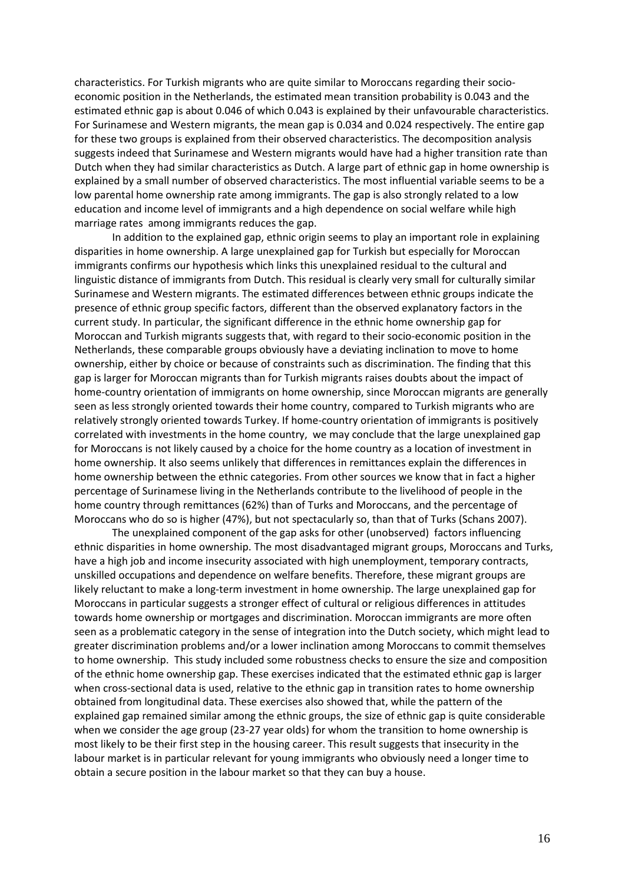characteristics. For Turkish migrants who are quite similar to Moroccans regarding their socioeconomic position in the Netherlands, the estimated mean transition probability is 0.043 and the estimated ethnic gap is about 0.046 of which 0.043 is explained by their unfavourable characteristics. For Surinamese and Western migrants, the mean gap is 0.034 and 0.024 respectively. The entire gap for these two groups is explained from their observed characteristics. The decomposition analysis suggests indeed that Surinamese and Western migrants would have had a higher transition rate than Dutch when they had similar characteristics as Dutch. A large part of ethnic gap in home ownership is explained by a small number of observed characteristics. The most influential variable seems to be a low parental home ownership rate among immigrants. The gap is also strongly related to a low education and income level of immigrants and a high dependence on social welfare while high marriage rates among immigrants reduces the gap.

In addition to the explained gap, ethnic origin seems to play an important role in explaining disparities in home ownership. A large unexplained gap for Turkish but especially for Moroccan immigrants confirms our hypothesis which links this unexplained residual to the cultural and linguistic distance of immigrants from Dutch. This residual is clearly very small for culturally similar Surinamese and Western migrants. The estimated differences between ethnic groups indicate the presence of ethnic group specific factors, different than the observed explanatory factors in the current study. In particular, the significant difference in the ethnic home ownership gap for Moroccan and Turkish migrants suggests that, with regard to their socio-economic position in the Netherlands, these comparable groups obviously have a deviating inclination to move to home ownership, either by choice or because of constraints such as discrimination. The finding that this gap is larger for Moroccan migrants than for Turkish migrants raises doubts about the impact of home-country orientation of immigrants on home ownership, since Moroccan migrants are generally seen as less strongly oriented towards their home country, compared to Turkish migrants who are relatively strongly oriented towards Turkey. If home-country orientation of immigrants is positively correlated with investments in the home country, we may conclude that the large unexplained gap for Moroccans is not likely caused by a choice for the home country as a location of investment in home ownership. It also seems unlikely that differences in remittances explain the differences in home ownership between the ethnic categories. From other sources we know that in fact a higher percentage of Surinamese living in the Netherlands contribute to the livelihood of people in the home country through remittances (62%) than of Turks and Moroccans, and the percentage of Moroccans who do so is higher (47%), but not spectacularly so, than that of Turks (Schans 2007).

The unexplained component of the gap asks for other (unobserved) factors influencing ethnic disparities in home ownership. The most disadvantaged migrant groups, Moroccans and Turks, have a high job and income insecurity associated with high unemployment, temporary contracts, unskilled occupations and dependence on welfare benefits. Therefore, these migrant groups are likely reluctant to make a long-term investment in home ownership. The large unexplained gap for Moroccans in particular suggests a stronger effect of cultural or religious differences in attitudes towards home ownership or mortgages and discrimination. Moroccan immigrants are more often seen as a problematic category in the sense of integration into the Dutch society, which might lead to greater discrimination problems and/or a lower inclination among Moroccans to commit themselves to home ownership. This study included some robustness checks to ensure the size and composition of the ethnic home ownership gap. These exercises indicated that the estimated ethnic gap is larger when cross-sectional data is used, relative to the ethnic gap in transition rates to home ownership obtained from longitudinal data. These exercises also showed that, while the pattern of the explained gap remained similar among the ethnic groups, the size of ethnic gap is quite considerable when we consider the age group (23-27 year olds) for whom the transition to home ownership is most likely to be their first step in the housing career. This result suggests that insecurity in the labour market is in particular relevant for young immigrants who obviously need a longer time to obtain a secure position in the labour market so that they can buy a house.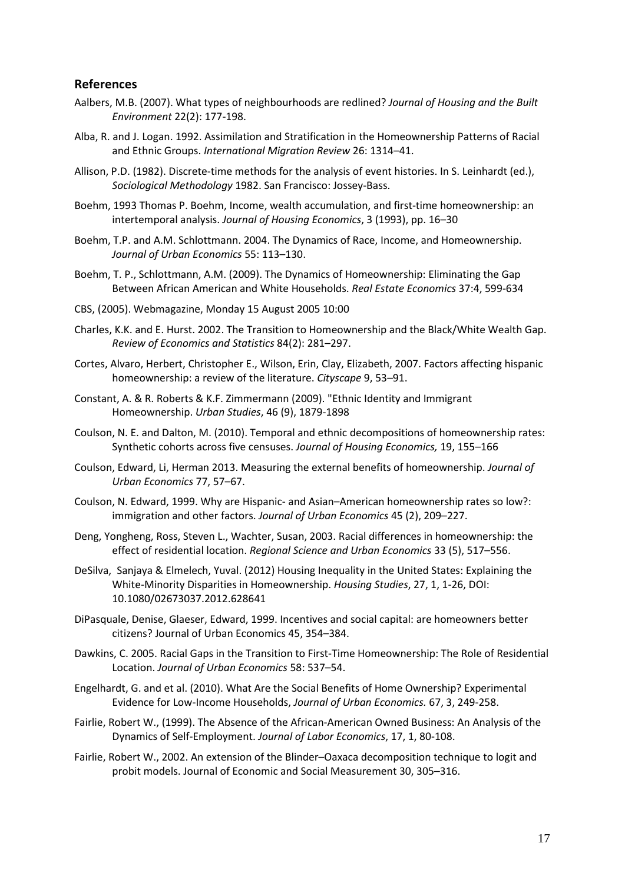#### **References**

- Aalbers, M.B. (2007). What types of neighbourhoods are redlined? *Journal of Housing and the Built Environment* 22(2): 177-198.
- Alba, R. and J. Logan. 1992. Assimilation and Stratification in the Homeownership Patterns of Racial and Ethnic Groups. *International Migration Review* 26: 1314–41.
- Allison, P.D. (1982). Discrete-time methods for the analysis of event histories. In S. Leinhardt (ed.), *Sociological Methodology* 1982. San Francisco: Jossey-Bass.
- Boehm, 1993 Thomas P. Boehm, Income, wealth accumulation, and first-time homeownership: an intertemporal analysis. *Journal of Housing Economics*, 3 (1993), pp. 16–30
- Boehm, T.P. and A.M. Schlottmann. 2004. The Dynamics of Race, Income, and Homeownership. *Journal of Urban Economics* 55: 113–130.
- Boehm, T. P., Schlottmann, A.M. (2009). The Dynamics of Homeownership: Eliminating the Gap Between African American and White Households. *Real Estate Economics* 37:4, 599-634
- CBS, (2005). Webmagazine, Monday 15 August 2005 10:00
- Charles, K.K. and E. Hurst. 2002. The Transition to Homeownership and the Black/White Wealth Gap. *Review of Economics and Statistics* 84(2): 281–297.
- Cortes, Alvaro, Herbert, Christopher E., Wilson, Erin, Clay, Elizabeth, 2007. Factors affecting hispanic homeownership: a review of the literature. *Cityscape* 9, 53–91.
- Constant, A. & R. Roberts & K.F. Zimmermann (2009). "Ethnic Identity and Immigrant Homeownership. *Urban Studies*, 46 (9), 1879-1898
- Coulson, N. E. and Dalton, M. (2010). Temporal and ethnic decompositions of homeownership rates: Synthetic cohorts across five censuses. *Journal of Housing Economics,* 19, 155–166
- Coulson, Edward, Li, Herman 2013. Measuring the external benefits of homeownership. *Journal of Urban Economics* 77, 57–67.
- Coulson, N. Edward, 1999. Why are Hispanic- and Asian–American homeownership rates so low?: immigration and other factors. *Journal of Urban Economics* 45 (2), 209–227.
- Deng, Yongheng, Ross, Steven L., Wachter, Susan, 2003. Racial differences in homeownership: the effect of residential location. *Regional Science and Urban Economics* 33 (5), 517–556.
- DeSilva, Sanjaya & Elmelech, Yuval. (2012) Housing Inequality in the United States: Explaining the White-Minority Disparities in Homeownership. *Housing Studies*, 27, 1, 1-26, DOI: 10.1080/02673037.2012.628641
- DiPasquale, Denise, Glaeser, Edward, 1999. Incentives and social capital: are homeowners better citizens? Journal of Urban Economics 45, 354–384.
- Dawkins, C. 2005. Racial Gaps in the Transition to First-Time Homeownership: The Role of Residential Location. *Journal of Urban Economics* 58: 537–54.
- Engelhardt, G. and et al. (2010). What Are the Social Benefits of Home Ownership? Experimental Evidence for Low-Income Households, *Journal of Urban Economics.* 67, 3, 249-258.
- Fairlie, Robert W., (1999). The Absence of the African-American Owned Business: An Analysis of the Dynamics of Self-Employment. *Journal of Labor Economics*, 17, 1, 80-108.
- Fairlie, Robert W., 2002. An extension of the Blinder–Oaxaca decomposition technique to logit and probit models. Journal of Economic and Social Measurement 30, 305–316.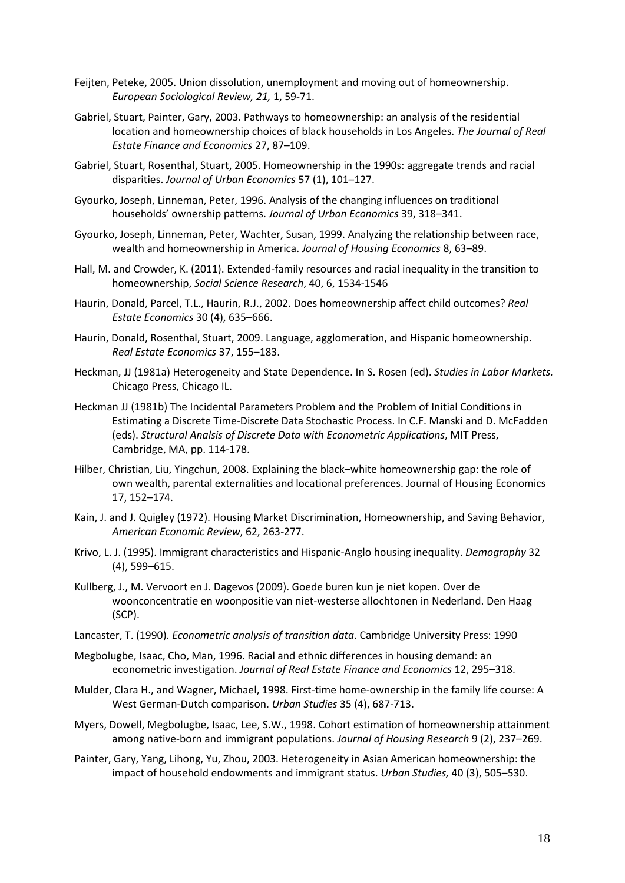- Feijten, Peteke, 2005. Union dissolution, unemployment and moving out of homeownership. *European Sociological Review, 21,* 1, 59-71.
- Gabriel, Stuart, Painter, Gary, 2003. Pathways to homeownership: an analysis of the residential location and homeownership choices of black households in Los Angeles. *The Journal of Real Estate Finance and Economics* 27, 87–109.
- Gabriel, Stuart, Rosenthal, Stuart, 2005. Homeownership in the 1990s: aggregate trends and racial disparities. *Journal of Urban Economics* 57 (1), 101–127.
- Gyourko, Joseph, Linneman, Peter, 1996. Analysis of the changing influences on traditional households' ownership patterns. *Journal of Urban Economics* 39, 318–341.
- Gyourko, Joseph, Linneman, Peter, Wachter, Susan, 1999. Analyzing the relationship between race, wealth and homeownership in America. *Journal of Housing Economics* 8, 63–89.
- Hall, M. and Crowder, K. (2011). Extended-family resources and racial inequality in the transition to homeownership, *Social Science Research*, 40, 6, 1534-1546
- Haurin, Donald, Parcel, T.L., Haurin, R.J., 2002. Does homeownership affect child outcomes? *Real Estate Economics* 30 (4), 635–666.
- Haurin, Donald, Rosenthal, Stuart, 2009. Language, agglomeration, and Hispanic homeownership. *Real Estate Economics* 37, 155–183.
- Heckman, JJ (1981a) Heterogeneity and State Dependence. In S. Rosen (ed). *Studies in Labor Markets.* Chicago Press, Chicago IL.
- Heckman JJ (1981b) The Incidental Parameters Problem and the Problem of Initial Conditions in Estimating a Discrete Time-Discrete Data Stochastic Process. In C.F. Manski and D. McFadden (eds). *Structural Analsis of Discrete Data with Econometric Applications*, MIT Press, Cambridge, MA, pp. 114-178.
- Hilber, Christian, Liu, Yingchun, 2008. Explaining the black–white homeownership gap: the role of own wealth, parental externalities and locational preferences. Journal of Housing Economics 17, 152–174.
- Kain, J. and J. Quigley (1972). Housing Market Discrimination, Homeownership, and Saving Behavior, *American Economic Review*, 62, 263-277.
- Krivo, L. J. (1995). Immigrant characteristics and Hispanic-Anglo housing inequality. *Demography* 32 (4), 599–615.
- Kullberg, J., M. Vervoort en J. Dagevos (2009). Goede buren kun je niet kopen. Over de woonconcentratie en woonpositie van niet-westerse allochtonen in Nederland. Den Haag (SCP).
- Lancaster, T. (1990). *Econometric analysis of transition data*. Cambridge University Press: 1990
- Megbolugbe, Isaac, Cho, Man, 1996. Racial and ethnic differences in housing demand: an econometric investigation. *Journal of Real Estate Finance and Economics* 12, 295–318.
- Mulder, Clara H., and Wagner, Michael, 1998. First-time home-ownership in the family life course: A West German-Dutch comparison. *Urban Studies* 35 (4), 687-713.
- Myers, Dowell, Megbolugbe, Isaac, Lee, S.W., 1998. Cohort estimation of homeownership attainment among native-born and immigrant populations. *Journal of Housing Research* 9 (2), 237–269.
- Painter, Gary, Yang, Lihong, Yu, Zhou, 2003. Heterogeneity in Asian American homeownership: the impact of household endowments and immigrant status. *Urban Studies,* 40 (3), 505–530.